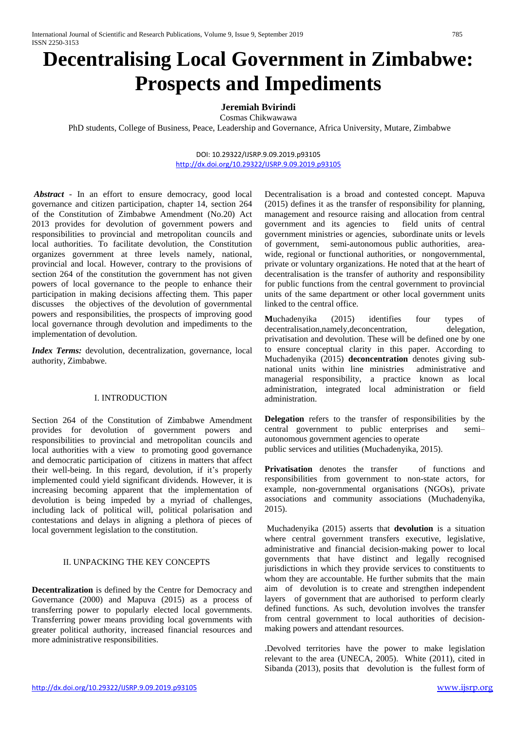# **Decentralising Local Government in Zimbabwe: Prospects and Impediments**

# **Jeremiah Bvirindi**

Cosmas Chikwawawa

PhD students, College of Business, Peace, Leadership and Governance, Africa University, Mutare, Zimbabwe

#### DOI: 10.29322/IJSRP.9.09.2019.p93105 <http://dx.doi.org/10.29322/IJSRP.9.09.2019.p93105>

*Abstract* - In an effort to ensure democracy, good local governance and citizen participation, chapter 14, section 264 of the Constitution of Zimbabwe Amendment (No.20) Act 2013 provides for devolution of government powers and responsibilities to provincial and metropolitan councils and local authorities. To facilitate devolution, the Constitution organizes government at three levels namely, national, provincial and local. However, contrary to the provisions of section 264 of the constitution the government has not given powers of local governance to the people to enhance their participation in making decisions affecting them. This paper discusses the objectives of the devolution of governmental powers and responsibilities, the prospects of improving good local governance through devolution and impediments to the implementation of devolution.

*Index Terms:* devolution, decentralization, governance, local authority, Zimbabwe.

### I. INTRODUCTION

Section 264 of the Constitution of Zimbabwe Amendment provides for devolution of government powers and responsibilities to provincial and metropolitan councils and local authorities with a view to promoting good governance and democratic participation of citizens in matters that affect their well-being. In this regard, devolution, if it's properly implemented could yield significant dividends. However, it is increasing becoming apparent that the implementation of devolution is being impeded by a myriad of challenges, including lack of political will, political polarisation and contestations and delays in aligning a plethora of pieces of local government legislation to the constitution.

## II. UNPACKING THE KEY CONCEPTS

**Decentralization** is defined by the Centre for Democracy and Governance (2000) and Mapuva (2015) as a process of transferring power to popularly elected local governments. Transferring power means providing local governments with greater political authority, increased financial resources and more administrative responsibilities.

Decentralisation is a broad and contested concept. Mapuva (2015) defines it as the transfer of responsibility for planning, management and resource raising and allocation from central government and its agencies to field units of central government ministries or agencies, subordinate units or levels of government, semi-autonomous public authorities, areawide, regional or functional authorities, or nongovernmental, private or voluntary organizations. He noted that at the heart of decentralisation is the transfer of authority and responsibility for public functions from the central government to provincial units of the same department or other local government units linked to the central office.

**M**uchadenyika (2015) identifies four types of decentralisation,namely,deconcentration, delegation, privatisation and devolution. These will be defined one by one to ensure conceptual clarity in this paper. According to Muchadenyika (2015) **deconcentration** denotes giving subnational units within line ministries administrative and managerial responsibility, a practice known as local administration, integrated local administration or field administration.

**Delegation** refers to the transfer of responsibilities by the central government to public enterprises and semi– autonomous government agencies to operate public services and utilities (Muchadenyika, 2015).

Privatisation denotes the transfer of functions and responsibilities from government to non-state actors, for example, non-governmental organisations (NGOs), private associations and community associations (Muchadenyika, 2015).

Muchadenyika (2015) asserts that **devolution** is a situation where central government transfers executive, legislative, administrative and financial decision-making power to local governments that have distinct and legally recognised jurisdictions in which they provide services to constituents to whom they are accountable. He further submits that the main aim of devolution is to create and strengthen independent layers of government that are authorised to perform clearly defined functions. As such, devolution involves the transfer from central government to local authorities of decisionmaking powers and attendant resources.

.Devolved territories have the power to make legislation relevant to the area (UNECA, 2005). White (2011), cited in Sibanda (2013), posits that devolution is the fullest form of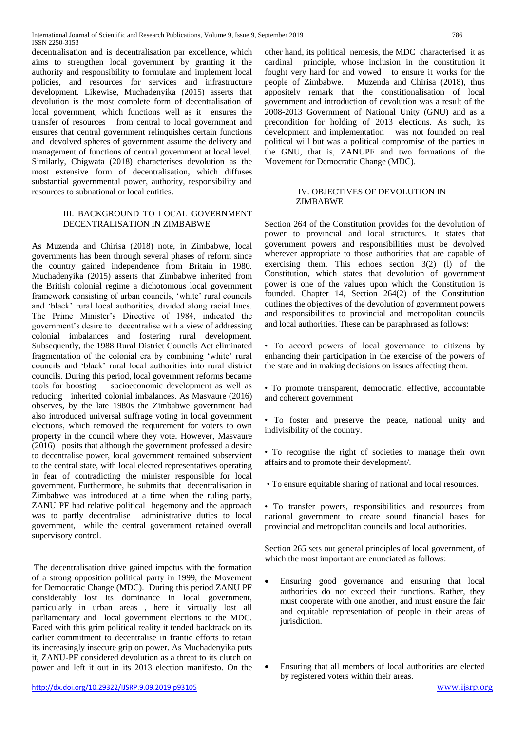decentralisation and is decentralisation par excellence, which aims to strengthen local government by granting it the authority and responsibility to formulate and implement local policies, and resources for services and infrastructure development. Likewise, Muchadenyika (2015) asserts that devolution is the most complete form of decentralisation of local government, which functions well as it ensures the transfer of resources from central to local government and ensures that central government relinquishes certain functions and devolved spheres of government assume the delivery and management of functions of central government at local level. Similarly, Chigwata (2018) characterises devolution as the most extensive form of decentralisation, which diffuses substantial governmental power, authority, responsibility and resources to subnational or local entities.

### III. BACKGROUND TO LOCAL GOVERNMENT DECENTRALISATION IN ZIMBABWE

As Muzenda and Chirisa (2018) note, in Zimbabwe, local governments has been through several phases of reform since the country gained independence from Britain in 1980. Muchadenyika (2015) asserts that Zimbabwe inherited from the British colonial regime a dichotomous local government framework consisting of urban councils, 'white' rural councils and 'black' rural local authorities, divided along racial lines. The Prime Minister's Directive of 1984, indicated the government's desire to decentralise with a view of addressing colonial imbalances and fostering rural development. Subsequently, the 1988 Rural District Councils Act eliminated fragmentation of the colonial era by combining 'white' rural councils and 'black' rural local authorities into rural district councils. During this period, local government reforms became tools for boosting socioeconomic development as well as reducing inherited colonial imbalances. As Masvaure (2016) observes, by the late 1980s the Zimbabwe government had also introduced universal suffrage voting in local government elections, which removed the requirement for voters to own property in the council where they vote. However, Masvaure (2016) posits that although the government professed a desire to decentralise power, local government remained subservient to the central state, with local elected representatives operating in fear of contradicting the minister responsible for local government. Furthermore, he submits that decentralisation in Zimbabwe was introduced at a time when the ruling party, ZANU PF had relative political hegemony and the approach was to partly decentralise administrative duties to local government, while the central government retained overall supervisory control.

The decentralisation drive gained impetus with the formation of a strong opposition political party in 1999, the Movement for Democratic Change (MDC). During this period ZANU PF considerably lost its dominance in local government, particularly in urban areas , here it virtually lost all parliamentary and local government elections to the MDC. Faced with this grim political reality it tended backtrack on its earlier commitment to decentralise in frantic efforts to retain its increasingly insecure grip on power. As Muchadenyika puts it, ZANU-PF considered devolution as a threat to its clutch on power and left it out in its 2013 election manifesto. On the

other hand, its political nemesis, the MDC characterised it as cardinal principle, whose inclusion in the constitution it fought very hard for and vowed to ensure it works for the people of Zimbabwe. Muzenda and Chirisa (2018), thus appositely remark that the constitionalisation of local government and introduction of devolution was a result of the 2008-2013 Government of National Unity (GNU) and as a precondition for holding of 2013 elections. As such, its development and implementation was not founded on real political will but was a political compromise of the parties in the GNU, that is, ZANUPF and two formations of the Movement for Democratic Change (MDC).

#### IV. OBJECTIVES OF DEVOLUTION IN ZIMBABWE

Section 264 of the Constitution provides for the devolution of power to provincial and local structures. It states that government powers and responsibilities must be devolved wherever appropriate to those authorities that are capable of exercising them. This echoes section  $3(2)$  (l) of the Constitution, which states that devolution of government power is one of the values upon which the Constitution is founded. Chapter 14, Section 264(2) of the Constitution outlines the objectives of the devolution of government powers and responsibilities to provincial and metropolitan councils and local authorities. These can be paraphrased as follows:

• To accord powers of local governance to citizens by enhancing their participation in the exercise of the powers of the state and in making decisions on issues affecting them.

• To promote transparent, democratic, effective, accountable and coherent government

• To foster and preserve the peace, national unity and indivisibility of the country.

• To recognise the right of societies to manage their own affairs and to promote their development/.

• To ensure equitable sharing of national and local resources.

• To transfer powers, responsibilities and resources from national government to create sound financial bases for provincial and metropolitan councils and local authorities.

Section 265 sets out general principles of local government, of which the most important are enunciated as follows:

- Ensuring good governance and ensuring that local authorities do not exceed their functions. Rather, they must cooperate with one another, and must ensure the fair and equitable representation of people in their areas of jurisdiction.
- Ensuring that all members of local authorities are elected by registered voters within their areas.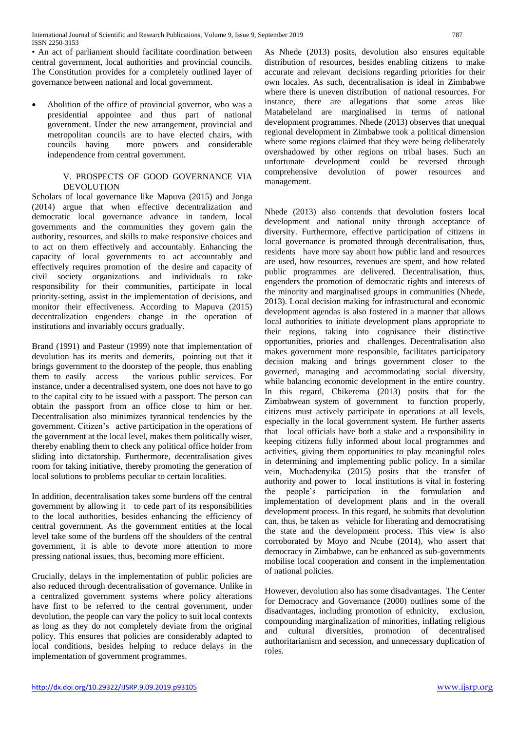• An act of parliament should facilitate coordination between central government, local authorities and provincial councils. The Constitution provides for a completely outlined layer of governance between national and local government.

 Abolition of the office of provincial governor, who was a presidential appointee and thus part of national government. Under the new arrangement, provincial and metropolitan councils are to have elected chairs, with councils having more powers and considerable independence from central government.

### V. PROSPECTS OF GOOD GOVERNANCE VIA **DEVOLUTION**

Scholars of local governance like Mapuva (2015) and Jonga (2014) argue that when effective decentralization and democratic local governance advance in tandem, local governments and the communities they govern gain the authority, resources, and skills to make responsive choices and to act on them effectively and accountably. Enhancing the capacity of local governments to act accountably and effectively requires promotion of the desire and capacity of civil society organizations and individuals to take responsibility for their communities, participate in local priority-setting, assist in the implementation of decisions, and monitor their effectiveness. According to Mapuva (2015) decentralization engenders change in the operation of institutions and invariably occurs gradually.

Brand (1991) and Pasteur (1999) note that implementation of devolution has its merits and demerits, pointing out that it brings government to the doorstep of the people, thus enabling them to easily access the various public services. For instance, under a decentralised system, one does not have to go to the capital city to be issued with a passport. The person can obtain the passport from an office close to him or her. Decentralisation also minimizes tyrannical tendencies by the government. Citizen's active participation in the operations of the government at the local level, makes them politically wiser, thereby enabling them to check any political office holder from sliding into dictatorship. Furthermore, decentralisation gives room for taking initiative, thereby promoting the generation of local solutions to problems peculiar to certain localities.

In addition, decentralisation takes some burdens off the central government by allowing it to cede part of its responsibilities to the local authorities, besides enhancing the efficiency of central government. As the government entities at the local level take some of the burdens off the shoulders of the central government, it is able to devote more attention to more pressing national issues, thus, becoming more efficient.

Crucially, delays in the implementation of public policies are also reduced through decentralisation of governance. Unlike in a centralized government systems where policy alterations have first to be referred to the central government, under devolution, the people can vary the policy to suit local contexts as long as they do not completely deviate from the original policy. This ensures that policies are considerably adapted to local conditions, besides helping to reduce delays in the implementation of government programmes.

As Nhede (2013) posits, devolution also ensures equitable distribution of resources, besides enabling citizens to make accurate and relevant decisions regarding priorities for their own locales. As such, decentralisation is ideal in Zimbabwe where there is uneven distribution of national resources. For instance, there are allegations that some areas like Matabeleland are marginalised in terms of national development programmes. Nhede (2013) observes that unequal regional development in Zimbabwe took a political dimension where some regions claimed that they were being deliberately overshadowed by other regions on tribal bases. Such an unfortunate development could be reversed through comprehensive devolution of power resources and management.

Nhede (2013) also contends that devolution fosters local development and national unity through acceptance of diversity. Furthermore, effective participation of citizens in local governance is promoted through decentralisation, thus, residents have more say about how public land and resources are used, how resources, revenues are spent, and how related public programmes are delivered. Decentralisation, thus, engenders the promotion of democratic rights and interests of the minority and marginalised groups in communities (Nhede, 2013). Local decision making for infrastructural and economic development agendas is also fostered in a manner that allows local authorities to initiate development plans appropriate to their regions, taking into cognisance their distinctive opportunities, priories and challenges. Decentralisation also makes government more responsible, facilitates participatory decision making and brings government closer to the governed, managing and accommodating social diversity, while balancing economic development in the entire country. In this regard, Chikerema (2013) posits that for the Zimbabwean system of government to function properly, citizens must actively participate in operations at all levels, especially in the local government system. He further asserts that local officials have both a stake and a responsibility in keeping citizens fully informed about local programmes and activities, giving them opportunities to play meaningful roles in determining and implementing public policy. In a similar vein, Muchadenyika (2015) posits that the transfer of authority and power to local institutions is vital in fostering the people's participation in the formulation and implementation of development plans and in the overall development process. In this regard, he submits that devolution can, thus, be taken as vehicle for liberating and democratising the state and the development process. This view is also corroborated by Moyo and Ncube (2014), who assert that democracy in Zimbabwe, can be enhanced as sub-governments mobilise local cooperation and consent in the implementation of national policies.

However, devolution also has some disadvantages. The Center for Democracy and Governance (2000) outlines some of the disadvantages, including promotion of ethnicity, exclusion, compounding marginalization of minorities, inflating religious and cultural diversities, promotion of decentralised authoritarianism and secession, and unnecessary duplication of roles.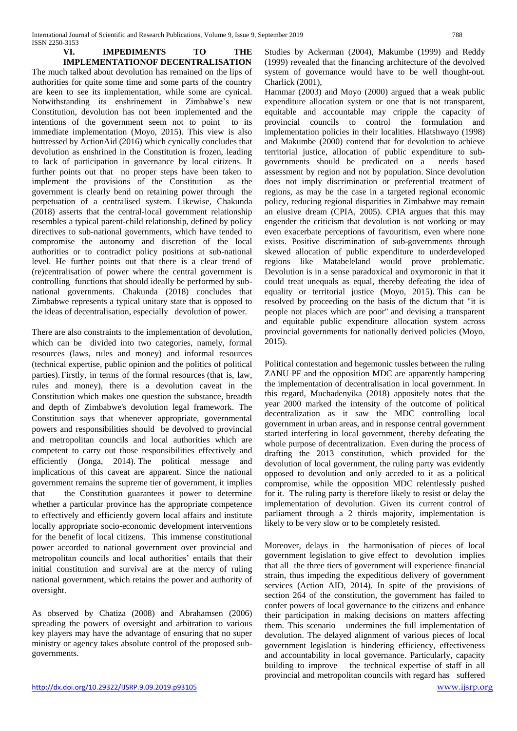**VI. IMPEDIMENTS TO THE IMPLEMENTATIONOF DECENTRALISATION** The much talked about devolution has remained on the lips of authorities for quite some time and some parts of the country are keen to see its implementation, while some are cynical. Notwithstanding its enshrinement in Zimbabwe's new Constitution, devolution has not been implemented and the intentions of the government seem not to point to its immediate implementation (Moyo, 2015). This view is also buttressed by ActionAid (2016) which cynically concludes that devolution as enshrined in the Constitution is frozen, leading to lack of participation in governance by local citizens. It further points out that no proper steps have been taken to implement the provisions of the Constitution as the government is clearly bend on retaining power through the perpetuation of a centralised system. Likewise, Chakunda (2018) asserts that the central-local government relationship resembles a typical parent-child relationship, defined by policy directives to sub-national governments, which have tended to compromise the autonomy and discretion of the local authorities or to contradict policy positions at sub-national level. He further points out that there is a clear trend of (re)centralisation of power where the central government is controlling functions that should ideally be performed by subnational governments. Chakunda (2018) concludes that Zimbabwe represents a typical unitary state that is opposed to the ideas of decentralisation, especially devolution of power.

There are also constraints to the implementation of devolution, which can be divided into two categories, namely, formal resources (laws, rules and money) and informal resources (technical expertise, public opinion and the politics of political parties). Firstly, in terms of the formal resources (that is, law, rules and money), there is a devolution caveat in the Constitution which makes one question the substance, breadth and depth of Zimbabwe's devolution legal framework. The Constitution says that whenever appropriate, governmental powers and responsibilities should be devolved to provincial and metropolitan councils and local authorities which are competent to carry out those responsibilities effectively and efficiently (Jonga, 2014). The political message and implications of this caveat are apparent. Since the national government remains the supreme tier of government, it implies that the Constitution guarantees it power to determine whether a particular province has the appropriate competence to effectively and efficiently govern local affairs and institute locally appropriate socio-economic development interventions for the benefit of local citizens. This immense constitutional power accorded to national government over provincial and metropolitan councils and local authorities' entails that their initial constitution and survival are at the mercy of ruling national government, which retains the power and authority of oversight.

As observed by Chatiza (2008) and Abrahamsen (2006) spreading the powers of oversight and arbitration to various key players may have the advantage of ensuring that no super ministry or agency takes absolute control of the proposed subgovernments.

Studies by Ackerman (2004), Makumbe (1999) and Reddy (1999) revealed that the financing architecture of the devolved system of governance would have to be well thought-out. Charlick (2001),

Hammar (2003) and Moyo (2000) argued that a weak public expenditure allocation system or one that is not transparent, equitable and accountable may cripple the capacity of provincial councils to control the formulation and implementation policies in their localities. Hlatshwayo (1998) and Makumbe (2000) contend that for devolution to achieve territorial justice, allocation of public expenditure to subgovernments should be predicated on a needs based assessment by region and not by population. Since devolution does not imply discrimination or preferential treatment of regions, as may be the case in a targeted regional economic policy, reducing regional disparities in Zimbabwe may remain an elusive dream (CPIA, 2005). CPIA argues that this may engender the criticism that devolution is not working or may even exacerbate perceptions of favouritism, even where none exists. Positive discrimination of sub-governments through skewed allocation of public expenditure to underdeveloped regions like Matabeleland would prove problematic. Devolution is in a sense paradoxical and oxymoronic in that it could treat unequals as equal, thereby defeating the idea of equality or territorial justice (Moyo, 2015). This can be resolved by proceeding on the basis of the dictum that "it is people not places which are poor" and devising a transparent and equitable public expenditure allocation system across provincial governments for nationally derived policies (Moyo, 2015).

Political contestation and hegemonic tussles between the ruling ZANU PF and the opposition MDC are apparently hampering the implementation of decentralisation in local government. In this regard, Muchadenyika (2018) appositely notes that the year 2000 marked the intensity of the outcome of political decentralization as it saw the MDC controlling local government in urban areas, and in response central government started interfering in local government, thereby defeating the whole purpose of decentralization. Even during the process of drafting the 2013 constitution, which provided for the devolution of local government, the ruling party was evidently opposed to devolution and only acceded to it as a political compromise, while the opposition MDC relentlessly pushed for it. The ruling party is therefore likely to resist or delay the implementation of devolution. Given its current control of parliament through a 2 thirds majority, implementation is likely to be very slow or to be completely resisted.

Moreover, delays in the harmonisation of pieces of local government legislation to give effect to devolution implies that all the three tiers of government will experience financial strain, thus impeding the expeditious delivery of government services (Action AID, 2014). In spite of the provisions of section 264 of the constitution, the government has failed to confer powers of local governance to the citizens and enhance their participation in making decisions on matters affecting them. This scenario undermines the full implementation of devolution. The delayed alignment of various pieces of local government legislation is hindering efficiency, effectiveness and accountability in local governance. Particularly, capacity building to improve the technical expertise of staff in all provincial and metropolitan councils with regard has suffered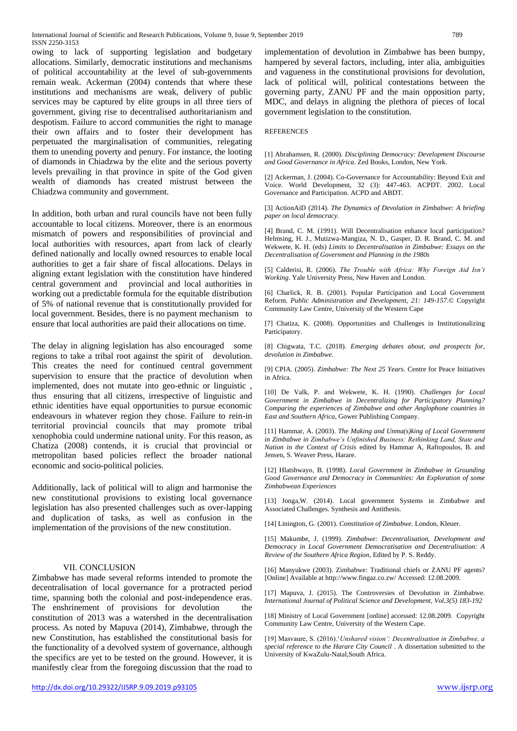owing to lack of supporting legislation and budgetary allocations. Similarly, democratic institutions and mechanisms of political accountability at the level of sub-governments remain weak. Ackerman (2004) contends that where these institutions and mechanisms are weak, delivery of public services may be captured by elite groups in all three tiers of government, giving rise to decentralised authoritarianism and despotism. Failure to accord communities the right to manage their own affairs and to foster their development has perpetuated the marginalisation of communities, relegating them to unending poverty and penury. For instance, the looting of diamonds in Chiadzwa by the elite and the serious poverty levels prevailing in that province in spite of the God given wealth of diamonds has created mistrust between the Chiadzwa community and government.

In addition, both urban and rural councils have not been fully accountable to local citizens. Moreover, there is an enormous mismatch of powers and responsibilities of provincial and local authorities with resources, apart from lack of clearly defined nationally and locally owned resources to enable local authorities to get a fair share of fiscal allocations. Delays in aligning extant legislation with the constitution have hindered central government and provincial and local authorities in working out a predictable formula for the equitable distribution of 5% of national revenue that is constitutionally provided for local government. Besides, there is no payment mechanism to ensure that local authorities are paid their allocations on time.

The delay in aligning legislation has also encouraged some regions to take a tribal root against the spirit of devolution. This creates the need for continued central government supervision to ensure that the practice of devolution when implemented, does not mutate into geo-ethnic or linguistic , thus ensuring that all citizens, irrespective of linguistic and ethnic identities have equal opportunities to pursue economic endeavours in whatever region they chose. Failure to rein-in territorial provincial councils that may promote tribal xenophobia could undermine national unity. For this reason, as Chatiza (2008) contends, it is crucial that provincial or metropolitan based policies reflect the broader national economic and socio-political policies.

Additionally, lack of political will to align and harmonise the new constitutional provisions to existing local governance legislation has also presented challenges such as over-lapping and duplication of tasks, as well as confusion in the implementation of the provisions of the new constitution.

#### VII. CONCLUSION

Zimbabwe has made several reforms intended to promote the decentralisation of local governance for a protracted period time, spanning both the colonial and post-independence eras. The enshrinement of provisions for devolution the constitution of 2013 was a watershed in the decentralisation process. As noted by Mapuva (2014), Zimbabwe, through the new Constitution, has established the constitutional basis for the functionality of a devolved system of governance, although the specifics are yet to be tested on the ground. However, it is manifestly clear from the foregoing discussion that the road to

implementation of devolution in Zimbabwe has been bumpy, hampered by several factors, including, inter alia, ambiguities and vagueness in the constitutional provisions for devolution, lack of political will, political contestations between the governing party, ZANU PF and the main opposition party, MDC, and delays in aligning the plethora of pieces of local government legislation to the constitution.

#### REFERENCES

[1] Abrahamsen, R. (2000). *Disciplining Democracy: Development Discourse and Good Governance in Africa*. Zed Books, London, New York.

[2] Ackerman, J. (2004). Co-Governance for Accountability: Beyond Exit and Voice. World Development, 32 (3): 447-463. ACPDT. 2002. Local Governance and Participation. ACPD and ABDT.

[3] ActionAiD (2014). *The Dynamics of Devolution in Zimbabwe: A briefing paper on local democracy.*

[4] Brand, C. M. (1991). Will Decentralisation enhance local participation? Helmsing, H. J., Mutizwa-Mangiza, N. D., Gasper, D. R. Brand, C. M. and Wekwete, K. H. (eds) *Limits to Decentralisation in Zimbabwe: Essays on the Decentralisation of Government and Planning in the 1980s*

[5] Calderisi, R. (2006). *The Trouble with Africa: Why Foreign Aid Isn't Working*. Yale University Press, New Haven and London.

[6] Charlick, R. B. (2001). Popular Participation and Local Government Reform. *Public Administration and Development, 21: 149-157*.© Copyright Community Law Centre, University of the Western Cape

[7] Chatiza, K. (2008). Opportunities and Challenges in Institutionalizing Participatory.

[8] Chigwata, T.C. (2018). *Emerging debates about, and prospects for, devolution in Zimbabwe.*

[9] CPIA. (2005). *Zimbabwe: The Next 25 Years.* Centre for Peace Initiatives in Africa.

[10] De Valk, P. and Wekwete, K. H. (1990). *Challenges for Local Government in Zimbabwe in Decentralizing for Participatory Planning? Comparing the experiences of Zimbabwe and other Anglophone countries in East and Southern Africa*, Gower Publishing Company.

[11] Hammar, A. (2003). *The Making and Unma(s)king of Local Government in Zimbabwe in Zimbabwe's Unfinished Business: Rethinking Land, State and Nation in the Context of Crisis* edited by Hammar A, Raftopoulos, B. and Jensen, S. Weaver Press, Harare.

[12] Hlatshwayo, B. (1998). *Local Government in Zimbabwe in Grounding Good Governance and Democracy in Communities: An Exploration of some Zimbabwean Experiences*

[13] Jonga,W. (2014). Local government Systems in Zimbabwe and Associated Challenges. Synthesis and Antithesis.

[14] Linington, G. (2001). *Constitution of Zimbabwe.* London, Kleuer.

[15] Makumbe, J. (1999). *Zimbabwe: Decentralisation, Development and Democracy in Local Government Democratisation and Decentralisation: A Review of the Southern Africa Region*, Edited by P. S. Reddy.

[16] Manyukwe (2003). Zimbabwe: Traditional chiefs or ZANU PF agents? [Online] Available at http://www.fingaz.co.zw/ Accessed: 12.08.2009.

[17] Mapuva, J. (2015). The Controversies of Devolution in Zimbabwe. *International Journal of Political Science and Development, Vol.3(5) 183-192*

[18] Ministry of Local Government [online] accessed: 12.08.2009. Copyright Community Law Centre, University of the Western Cape.

[19] Masvaure, S. (2016).'*Unshared vision': Decentralisation in Zimbabwe, a special reference to the Harare City Council* . A dissertation submitted to the University of KwaZulu-Natal,South Africa.